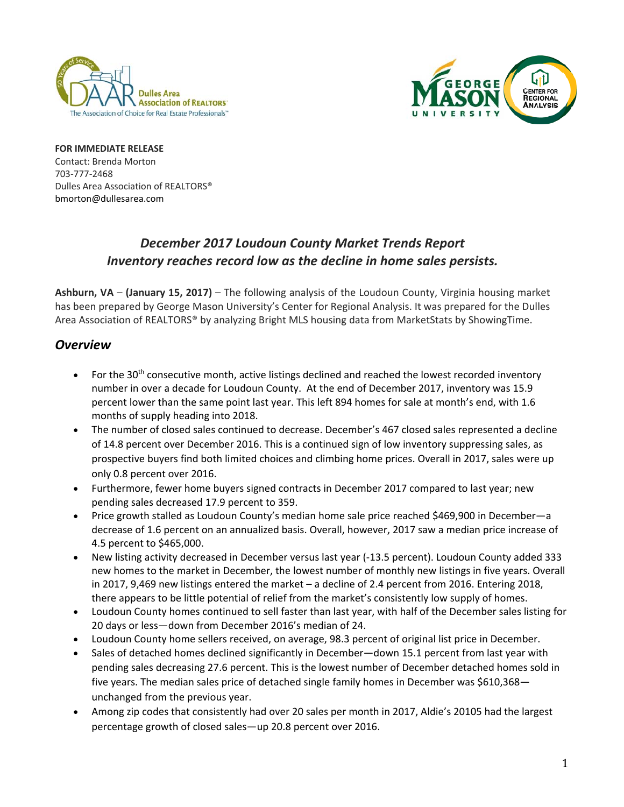



**FOR IMMEDIATE RELEASE**  Contact: Brenda Morton 703‐777‐2468 Dulles Area Association of REALTORS® bmorton@dullesarea.com 

# *December 2017 Loudoun County Market Trends Report Inventory reaches record low as the decline in home sales persists.*

**Ashburn, VA** – **(January 15, 2017)** – The following analysis of the Loudoun County, Virginia housing market has been prepared by George Mason University's Center for Regional Analysis. It was prepared for the Dulles Area Association of REALTORS® by analyzing Bright MLS housing data from MarketStats by ShowingTime.

## *Overview*

- For the 30<sup>th</sup> consecutive month, active listings declined and reached the lowest recorded inventory number in over a decade for Loudoun County. At the end of December 2017, inventory was 15.9 percent lower than the same point last year. This left 894 homes for sale at month's end, with 1.6 months of supply heading into 2018.
- The number of closed sales continued to decrease. December's 467 closed sales represented a decline of 14.8 percent over December 2016. This is a continued sign of low inventory suppressing sales, as prospective buyers find both limited choices and climbing home prices. Overall in 2017, sales were up only 0.8 percent over 2016.
- Furthermore, fewer home buyers signed contracts in December 2017 compared to last year; new pending sales decreased 17.9 percent to 359.
- Price growth stalled as Loudoun County's median home sale price reached \$469,900 in December—a decrease of 1.6 percent on an annualized basis. Overall, however, 2017 saw a median price increase of 4.5 percent to \$465,000.
- New listing activity decreased in December versus last year (‐13.5 percent). Loudoun County added 333 new homes to the market in December, the lowest number of monthly new listings in five years. Overall in 2017, 9,469 new listings entered the market – a decline of 2.4 percent from 2016. Entering 2018, there appears to be little potential of relief from the market's consistently low supply of homes.
- Loudoun County homes continued to sell faster than last year, with half of the December sales listing for 20 days or less—down from December 2016's median of 24.
- Loudoun County home sellers received, on average, 98.3 percent of original list price in December.
- Sales of detached homes declined significantly in December—down 15.1 percent from last year with pending sales decreasing 27.6 percent. This is the lowest number of December detached homes sold in five years. The median sales price of detached single family homes in December was \$610,368 unchanged from the previous year.
- Among zip codes that consistently had over 20 sales per month in 2017, Aldie's 20105 had the largest percentage growth of closed sales—up 20.8 percent over 2016.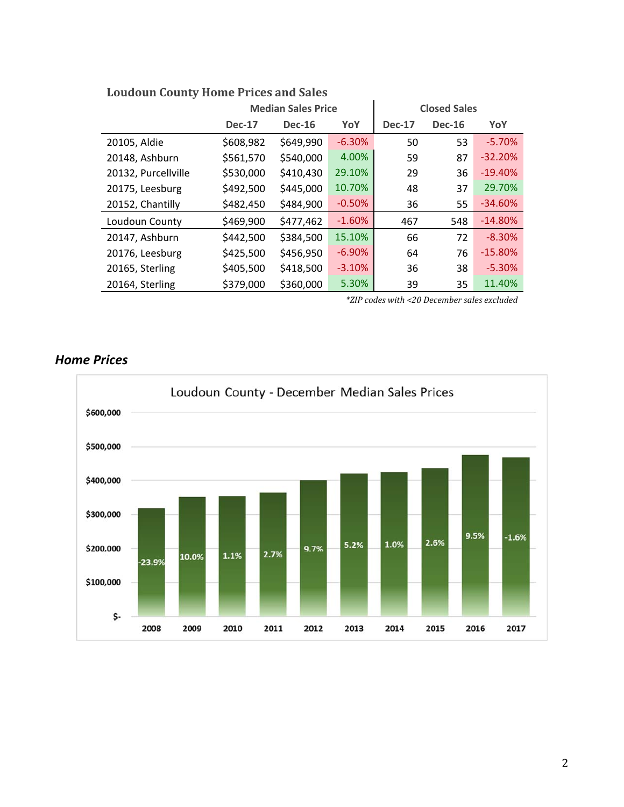|                     |               | <b>Median Sales Price</b> |          | <b>Closed Sales</b> |               |           |  |
|---------------------|---------------|---------------------------|----------|---------------------|---------------|-----------|--|
|                     | <b>Dec-17</b> | <b>Dec-16</b>             | YoY      | <b>Dec-17</b>       | <b>Dec-16</b> | YoY       |  |
| 20105, Aldie        | \$608,982     | \$649,990                 | $-6.30%$ | 50                  | 53            | $-5.70%$  |  |
| 20148, Ashburn      | \$561,570     | \$540,000                 | 4.00%    | 59                  | 87            | $-32.20%$ |  |
| 20132, Purcellville | \$530,000     | \$410,430                 | 29.10%   | 29                  | 36            | $-19.40%$ |  |
| 20175, Leesburg     | \$492,500     | \$445,000                 | 10.70%   | 48                  | 37            | 29.70%    |  |
| 20152, Chantilly    | \$482,450     | \$484,900                 | $-0.50%$ | 36                  | 55            | $-34.60%$ |  |
| Loudoun County      | \$469,900     | \$477,462                 | $-1.60%$ | 467                 | 548           | $-14.80%$ |  |
| 20147, Ashburn      | \$442,500     | \$384,500                 | 15.10%   | 66                  | 72            | $-8.30%$  |  |
| 20176, Leesburg     | \$425,500     | \$456,950                 | $-6.90%$ | 64                  | 76            | $-15.80%$ |  |
| 20165, Sterling     | \$405,500     | \$418,500                 | $-3.10%$ | 36                  | 38            | $-5.30%$  |  |
| 20164, Sterling     | \$379,000     | \$360,000                 | 5.30%    | 39                  | 35            | 11.40%    |  |

# **Loudoun County Home Prices and Sales**

*\*ZIP codes with <20 December sales excluded*

#### Loudoun County - December Median Sales Prices \$600,000 \$500,000 \$400,000 \$300,000 9.5%  $-1.6%$ 2.6% 1.0%  $5.2%$  $9.7%$ \$200,000  $2.7%$  $1.1%$ 10.0%  $-23.9%$ \$100,000 \$-2008 2012 2017 2009 2010 2011 2013 2014 2015 2016

## *Home Prices*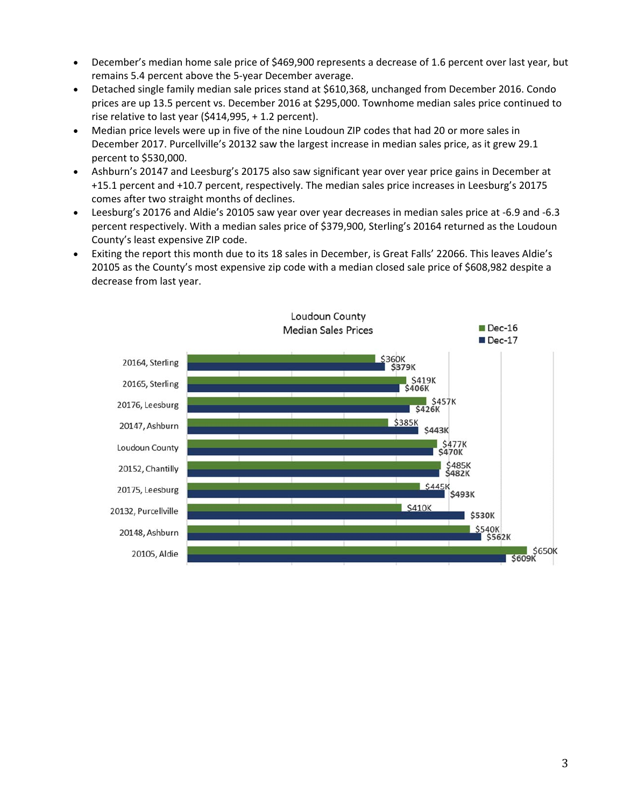- December's median home sale price of \$469,900 represents a decrease of 1.6 percent over last year, but remains 5.4 percent above the 5‐year December average.
- Detached single family median sale prices stand at \$610,368, unchanged from December 2016. Condo prices are up 13.5 percent vs. December 2016 at \$295,000. Townhome median sales price continued to rise relative to last year (\$414,995, + 1.2 percent).
- Median price levels were up in five of the nine Loudoun ZIP codes that had 20 or more sales in December 2017. Purcellville's 20132 saw the largest increase in median sales price, as it grew 29.1 percent to \$530,000.
- Ashburn's 20147 and Leesburg's 20175 also saw significant year over year price gains in December at +15.1 percent and +10.7 percent, respectively. The median sales price increases in Leesburg's 20175 comes after two straight months of declines.
- Leesburg's 20176 and Aldie's 20105 saw year over year decreases in median sales price at ‐6.9 and ‐6.3 percent respectively. With a median sales price of \$379,900, Sterling's 20164 returned as the Loudoun County's least expensive ZIP code.
- Exiting the report this month due to its 18 sales in December, is Great Falls' 22066. This leaves Aldie's 20105 as the County's most expensive zip code with a median closed sale price of \$608,982 despite a decrease from last year.

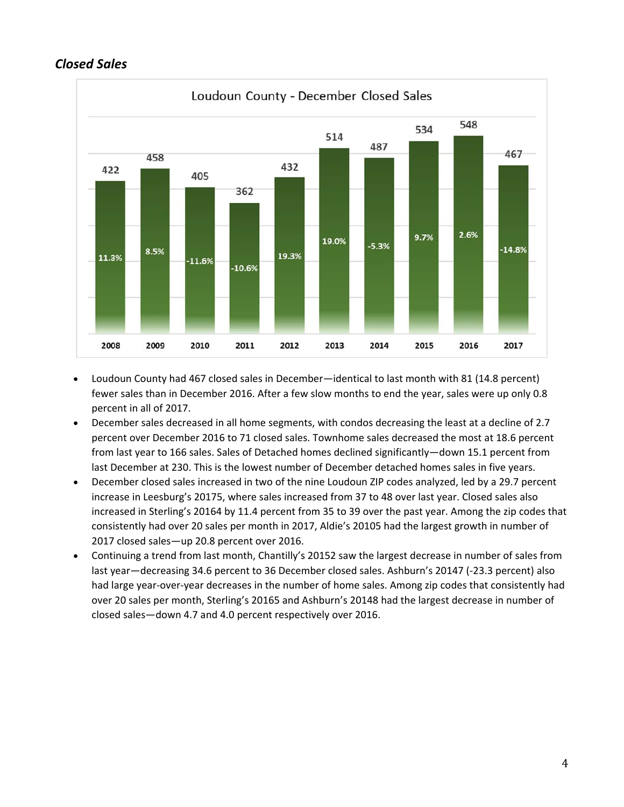# *Closed Sales*



- Loudoun County had 467 closed sales in December—identical to last month with 81 (14.8 percent) fewer sales than in December 2016. After a few slow months to end the year, sales were up only 0.8 percent in all of 2017.
- December sales decreased in all home segments, with condos decreasing the least at a decline of 2.7 percent over December 2016 to 71 closed sales. Townhome sales decreased the most at 18.6 percent from last year to 166 sales. Sales of Detached homes declined significantly—down 15.1 percent from last December at 230. This is the lowest number of December detached homes sales in five years.
- December closed sales increased in two of the nine Loudoun ZIP codes analyzed, led by a 29.7 percent increase in Leesburg's 20175, where sales increased from 37 to 48 over last year. Closed sales also increased in Sterling's 20164 by 11.4 percent from 35 to 39 over the past year. Among the zip codes that consistently had over 20 sales per month in 2017, Aldie's 20105 had the largest growth in number of 2017 closed sales—up 20.8 percent over 2016.
- Continuing a trend from last month, Chantilly's 20152 saw the largest decrease in number of sales from last year—decreasing 34.6 percent to 36 December closed sales. Ashburn's 20147 (‐23.3 percent) also had large year-over-year decreases in the number of home sales. Among zip codes that consistently had over 20 sales per month, Sterling's 20165 and Ashburn's 20148 had the largest decrease in number of closed sales—down 4.7 and 4.0 percent respectively over 2016.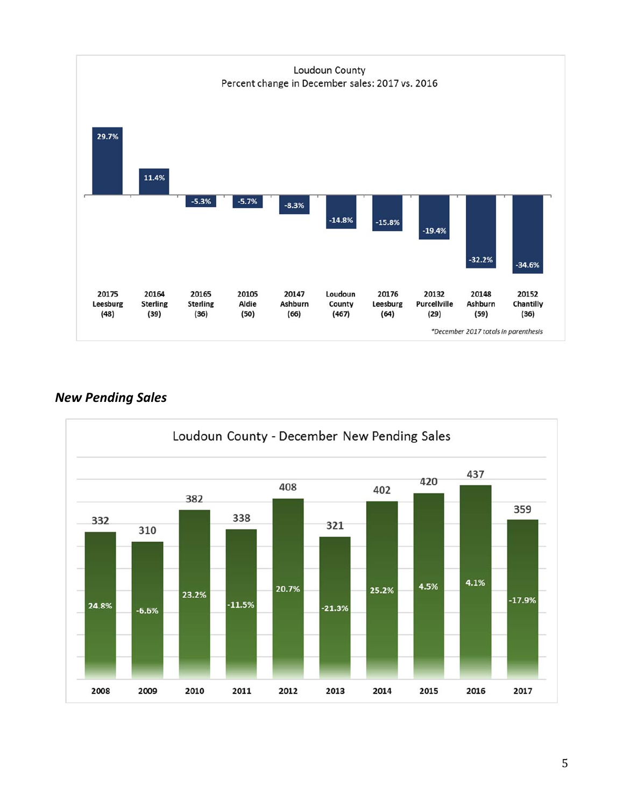

## *New Pending Sales*

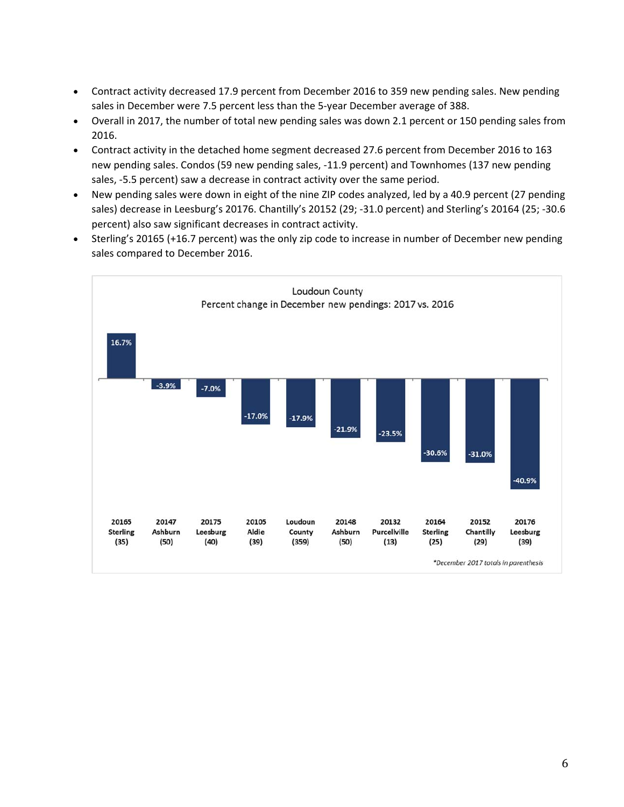- Contract activity decreased 17.9 percent from December 2016 to 359 new pending sales. New pending sales in December were 7.5 percent less than the 5-year December average of 388.
- Overall in 2017, the number of total new pending sales was down 2.1 percent or 150 pending sales from 2016.
- Contract activity in the detached home segment decreased 27.6 percent from December 2016 to 163 new pending sales. Condos (59 new pending sales, ‐11.9 percent) and Townhomes (137 new pending sales, ‐5.5 percent) saw a decrease in contract activity over the same period.
- New pending sales were down in eight of the nine ZIP codes analyzed, led by a 40.9 percent (27 pending sales) decrease in Leesburg's 20176. Chantilly's 20152 (29; ‐31.0 percent) and Sterling's 20164 (25; ‐30.6 percent) also saw significant decreases in contract activity.
- Sterling's 20165 (+16.7 percent) was the only zip code to increase in number of December new pending sales compared to December 2016.

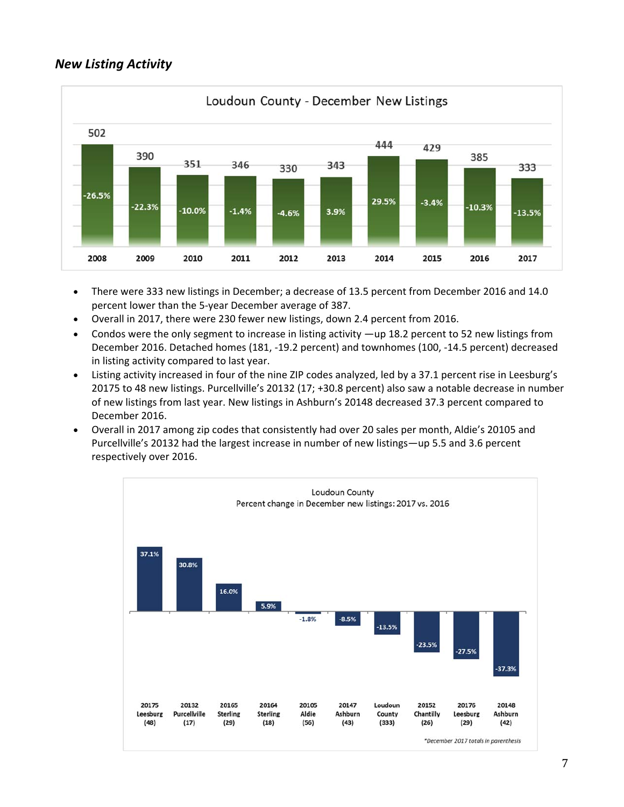## *New Listing Activity*



- There were 333 new listings in December; a decrease of 13.5 percent from December 2016 and 14.0 percent lower than the 5‐year December average of 387.
- Overall in 2017, there were 230 fewer new listings, down 2.4 percent from 2016.
- Condos were the only segment to increase in listing activity —up 18.2 percent to 52 new listings from December 2016. Detached homes (181, ‐19.2 percent) and townhomes (100, ‐14.5 percent) decreased in listing activity compared to last year.
- Listing activity increased in four of the nine ZIP codes analyzed, led by a 37.1 percent rise in Leesburg's 20175 to 48 new listings. Purcellville's 20132 (17; +30.8 percent) also saw a notable decrease in number of new listings from last year. New listings in Ashburn's 20148 decreased 37.3 percent compared to December 2016.
- Overall in 2017 among zip codes that consistently had over 20 sales per month, Aldie's 20105 and Purcellville's 20132 had the largest increase in number of new listings—up 5.5 and 3.6 percent respectively over 2016.

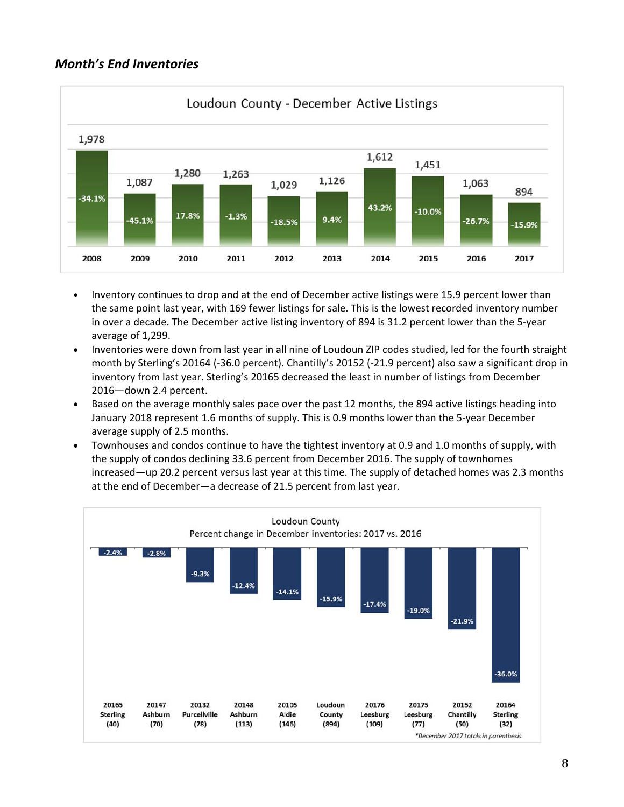### *Month's End Inventories*



- Inventory continues to drop and at the end of December active listings were 15.9 percent lower than the same point last year, with 169 fewer listings for sale. This is the lowest recorded inventory number in over a decade. The December active listing inventory of 894 is 31.2 percent lower than the 5‐year average of 1,299.
- Inventories were down from last year in all nine of Loudoun ZIP codes studied, led for the fourth straight month by Sterling's 20164 (‐36.0 percent). Chantilly's 20152 (‐21.9 percent) also saw a significant drop in inventory from last year. Sterling's 20165 decreased the least in number of listings from December 2016—down 2.4 percent.
- Based on the average monthly sales pace over the past 12 months, the 894 active listings heading into January 2018 represent 1.6 months of supply. This is 0.9 months lower than the 5‐year December average supply of 2.5 months.
- Townhouses and condos continue to have the tightest inventory at 0.9 and 1.0 months of supply, with the supply of condos declining 33.6 percent from December 2016. The supply of townhomes increased—up 20.2 percent versus last year at this time. The supply of detached homes was 2.3 months at the end of December—a decrease of 21.5 percent from last year.

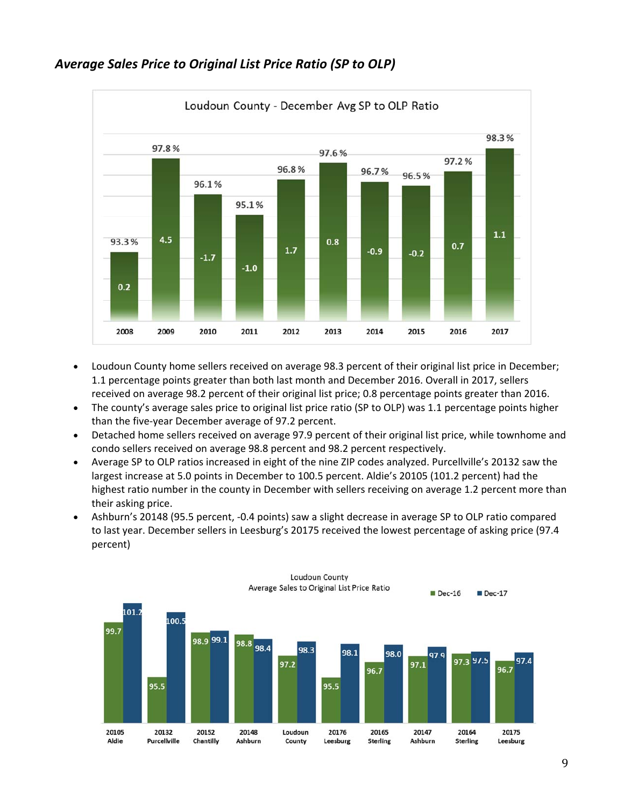

### *Average Sales Price to Original List Price Ratio (SP to OLP)*

- Loudoun County home sellers received on average 98.3 percent of their original list price in December; 1.1 percentage points greater than both last month and December 2016. Overall in 2017, sellers received on average 98.2 percent of their original list price; 0.8 percentage points greater than 2016.
- The county's average sales price to original list price ratio (SP to OLP) was 1.1 percentage points higher than the five‐year December average of 97.2 percent.
- Detached home sellers received on average 97.9 percent of their original list price, while townhome and condo sellers received on average 98.8 percent and 98.2 percent respectively.
- Average SP to OLP ratios increased in eight of the nine ZIP codes analyzed. Purcellville's 20132 saw the largest increase at 5.0 points in December to 100.5 percent. Aldie's 20105 (101.2 percent) had the highest ratio number in the county in December with sellers receiving on average 1.2 percent more than their asking price.
- Ashburn's 20148 (95.5 percent, ‐0.4 points) saw a slight decrease in average SP to OLP ratio compared to last year. December sellers in Leesburg's 20175 received the lowest percentage of asking price (97.4 percent)

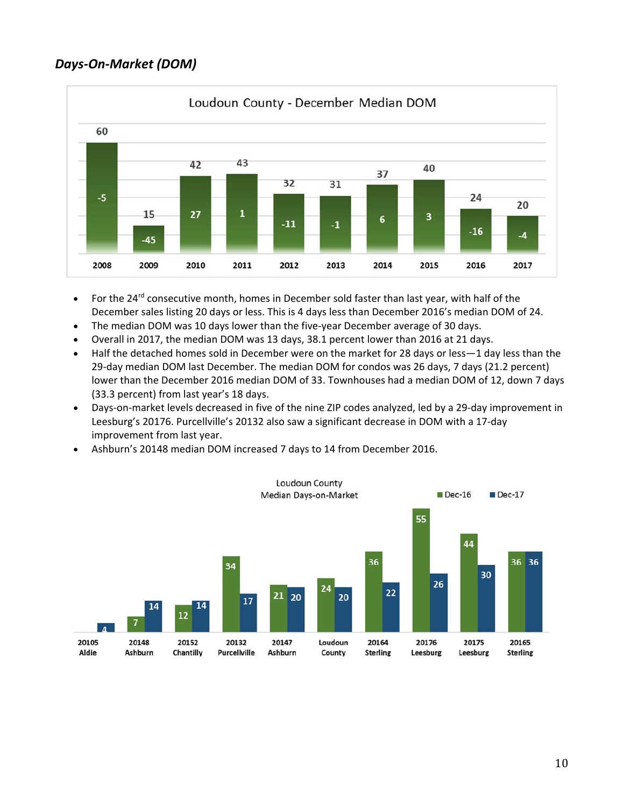## *Days‐On‐Market (DOM)*



- For the 24<sup>rd</sup> consecutive month, homes in December sold faster than last year, with half of the December sales listing 20 days or less. This is 4 days less than December 2016's median DOM of 24.
- The median DOM was 10 days lower than the five-year December average of 30 days.
- Overall in 2017, the median DOM was 13 days, 38.1 percent lower than 2016 at 21 days.
- Half the detached homes sold in December were on the market for 28 days or less—1 day less than the 29‐day median DOM last December. The median DOM for condos was 26 days, 7 days (21.2 percent) lower than the December 2016 median DOM of 33. Townhouses had a median DOM of 12, down 7 days (33.3 percent) from last year's 18 days.
- Days‐on‐market levels decreased in five of the nine ZIP codes analyzed, led by a 29‐day improvement in Leesburg's 20176. Purcellville's 20132 also saw a significant decrease in DOM with a 17‐day improvement from last year.
- Ashburn's 20148 median DOM increased 7 days to 14 from December 2016.